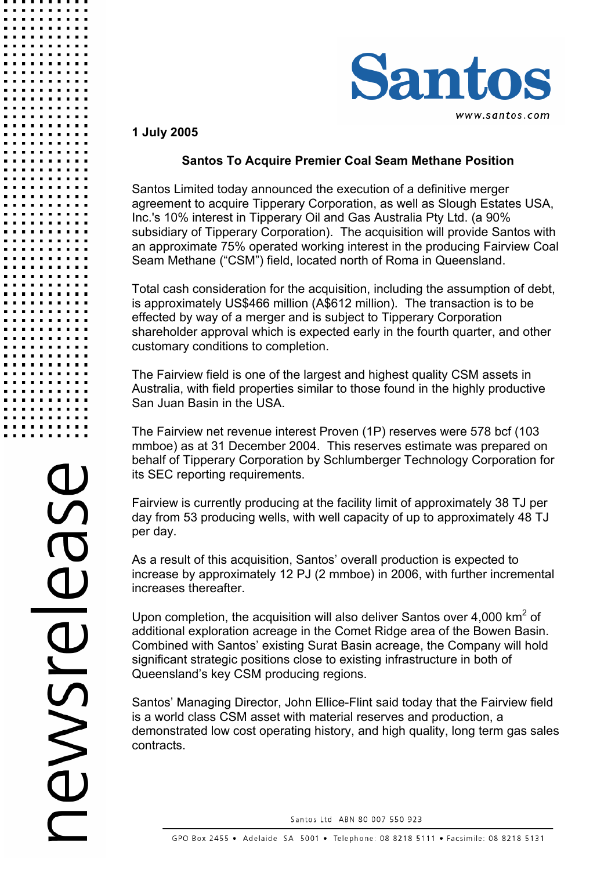

**1 July 2005** 

## **Santos To Acquire Premier Coal Seam Methane Position**

Santos Limited today announced the execution of a definitive merger agreement to acquire Tipperary Corporation, as well as Slough Estates USA, Inc.'s 10% interest in Tipperary Oil and Gas Australia Pty Ltd. (a 90% subsidiary of Tipperary Corporation). The acquisition will provide Santos with an approximate 75% operated working interest in the producing Fairview Coal Seam Methane ("CSM") field, located north of Roma in Queensland.

Total cash consideration for the acquisition, including the assumption of debt, is approximately US\$466 million (A\$612 million). The transaction is to be effected by way of a merger and is subject to Tipperary Corporation shareholder approval which is expected early in the fourth quarter, and other customary conditions to completion.

The Fairview field is one of the largest and highest quality CSM assets in Australia, with field properties similar to those found in the highly productive San Juan Basin in the USA.

The Fairview net revenue interest Proven (1P) reserves were 578 bcf (103 mmboe) as at 31 December 2004. This reserves estimate was prepared on behalf of Tipperary Corporation by Schlumberger Technology Corporation for its SEC reporting requirements.

Fairview is currently producing at the facility limit of approximately 38 TJ per day from 53 producing wells, with well capacity of up to approximately 48 TJ per day.

As a result of this acquisition, Santos' overall production is expected to increase by approximately 12 PJ (2 mmboe) in 2006, with further incremental increases thereafter.

Upon completion, the acquisition will also deliver Santos over 4,000  $km^2$  of additional exploration acreage in the Comet Ridge area of the Bowen Basin. Combined with Santos' existing Surat Basin acreage, the Company will hold significant strategic positions close to existing infrastructure in both of Queensland's key CSM producing regions.

Santos' Managing Director, John Ellice-Flint said today that the Fairview field is a world class CSM asset with material reserves and production, a demonstrated low cost operating history, and high quality, long term gas sales contracts.

Santos Ltd ABN 80 007 550 923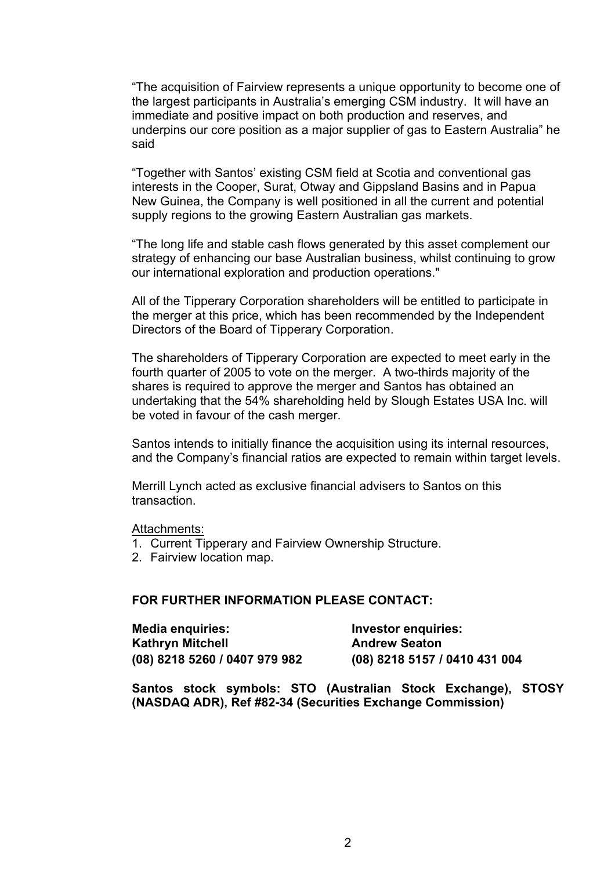"The acquisition of Fairview represents a unique opportunity to become one of the largest participants in Australia's emerging CSM industry. It will have an immediate and positive impact on both production and reserves, and underpins our core position as a major supplier of gas to Eastern Australia" he said

"Together with Santos' existing CSM field at Scotia and conventional gas interests in the Cooper, Surat, Otway and Gippsland Basins and in Papua New Guinea, the Company is well positioned in all the current and potential supply regions to the growing Eastern Australian gas markets.

"The long life and stable cash flows generated by this asset complement our strategy of enhancing our base Australian business, whilst continuing to grow our international exploration and production operations."

All of the Tipperary Corporation shareholders will be entitled to participate in the merger at this price, which has been recommended by the Independent Directors of the Board of Tipperary Corporation.

The shareholders of Tipperary Corporation are expected to meet early in the fourth quarter of 2005 to vote on the merger. A two-thirds majority of the shares is required to approve the merger and Santos has obtained an undertaking that the 54% shareholding held by Slough Estates USA Inc. will be voted in favour of the cash merger.

Santos intends to initially finance the acquisition using its internal resources, and the Company's financial ratios are expected to remain within target levels.

Merrill Lynch acted as exclusive financial advisers to Santos on this transaction.

Attachments:

- 1. Current Tipperary and Fairview Ownership Structure.
- 2. Fairview location map.

#### **FOR FURTHER INFORMATION PLEASE CONTACT:**

| <b>Media enquiries:</b>       | Investor enquiries:           |
|-------------------------------|-------------------------------|
| Kathryn Mitchell              | <b>Andrew Seaton</b>          |
| (08) 8218 5260 / 0407 979 982 | (08) 8218 5157 / 0410 431 004 |

**Santos stock symbols: STO (Australian Stock Exchange), STOSY (NASDAQ ADR), Ref #82-34 (Securities Exchange Commission)**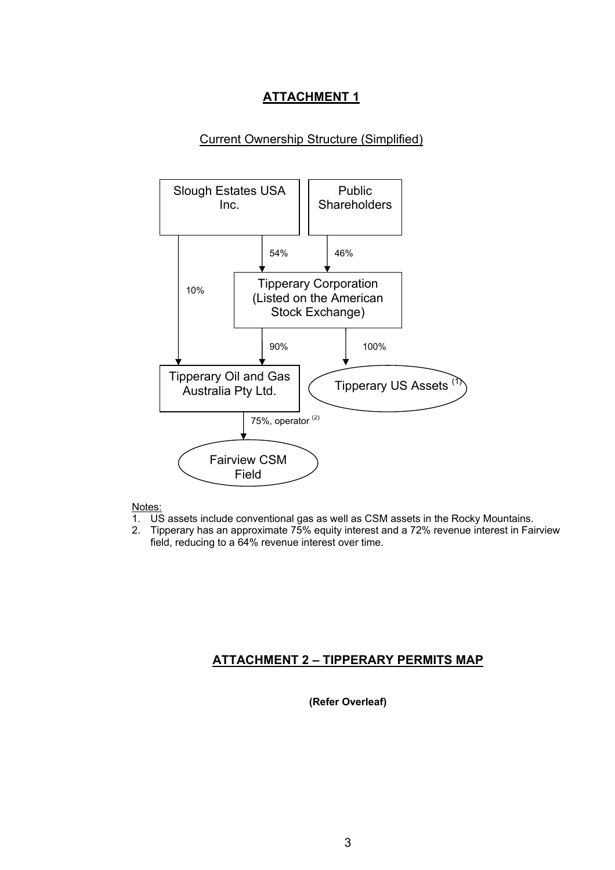## **ATTACHMENT 1**

#### Current Ownership Structure (Simplified)



#### Notes:

- 1. US assets include conventional gas as well as CSM assets in the Rocky Mountains.
- 2. Tipperary has an approximate 75% equity interest and a 72% revenue interest in Fairview field, reducing to a 64% revenue interest over time.

#### **ATTACHMENT 2 – TIPPERARY PERMITS MAP**

**(Refer Overleaf)**